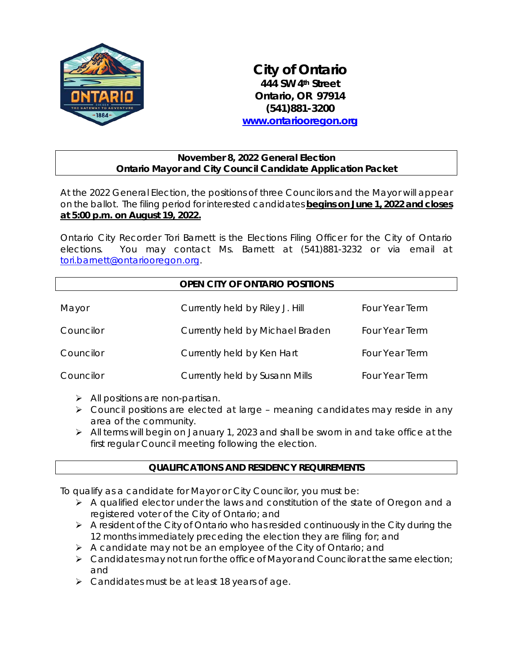

*City of Ontario 444 SW 4th Street Ontario, OR 97914 (541)881-3200 [www.ontariooregon.org](http://www.ontariooregon.org/)*

### **November 8, 2022 General Election Ontario Mayor and City Council Candidate Application Packet**

At the 2022 General Election, the positions of three Councilors and the Mayor will appear on the ballot. The filing period for interested candidates **begins on June 1, 2022 and closes at 5:00 p.m. on August 19, 2022.**

Ontario City Recorder Tori Barnett is the Elections Filing Officer for the City of Ontario elections. You may contact Ms. Barnett at (541)881-3232 or via email at [tori.barnett@ontariooregon.org.](mailto:tori.barnett@ontariooregon.org)

# **OPEN CITY OF ONTARIO POSITIONS**

| Mayor     | Currently held by Riley J. Hill  | Four Year Term |
|-----------|----------------------------------|----------------|
| Councilor | Currently held by Michael Braden | Four Year Term |
| Councilor | Currently held by Ken Hart       | Four Year Term |
| Councilor | Currently held by Susann Mills   | Four Year Term |

- > All positions are non-partisan.
- Council positions are elected at large meaning candidates may reside in any area of the community.
- All terms will begin on January 1, 2023 and shall be sworn in and take office at the first regular Council meeting following the election.

## **QUALIFICATIONS AND RESIDENCY REQUIREMENTS**

To qualify as a candidate for Mayor or City Councilor, you must be:

- $\triangleright$  A qualified elector under the laws and constitution of the state of Oregon and a registered voter of the City of Ontario; and
- $\triangleright$  A resident of the City of Ontario who has resided continuously in the City during the 12 months immediately preceding the election they are filing for; and
- A candidate may not be an employee of the City of Ontario; and
- $\triangleright$  Candidates may not run for the office of Mayor and Councilor at the same election; and
- > Candidates must be at least 18 years of age.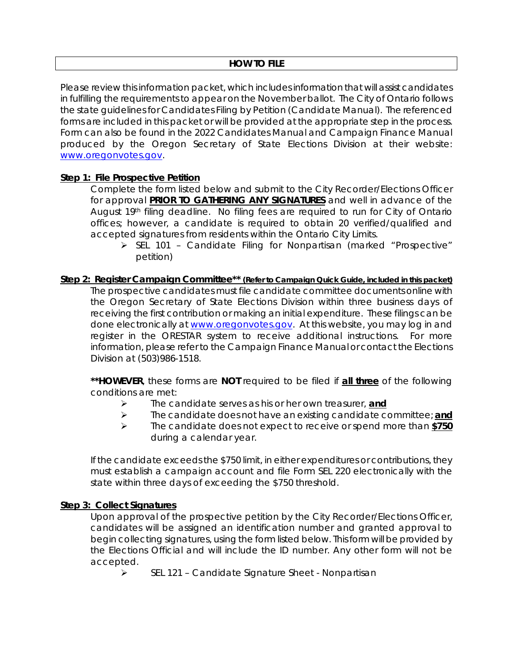Please review this information packet, which includes information that will assist candidates in fulfilling the requirements to appear on the November ballot. The City of Ontario follows the state guidelines for Candidates Filing by Petition (Candidate Manual). The referenced forms are included in this packet or will be provided at the appropriate step in the process. Form can also be found in the 2022 Candidates Manual and Campaign Finance Manual produced by the Oregon Secretary of State Elections Division at their website: [www.oregonvotes.gov.](http://www.oregonvotes.gov/)

### **Step 1: File Prospective Petition**

Complete the form listed below and submit to the City Recorder/Elections Officer for approval **PRIOR TO GATHERING ANY SIGNATURES** and well in advance of the August 19<sup>th</sup> filing deadline. No filing fees are required to run for City of Ontario offices; however, a candidate is required to obtain 20 verified/qualified and accepted signatures from residents within the Ontario City Limits.

SEL 101 - Candidate Filing for Nonpartisan (marked "Prospective" petition)

#### **Step 2: Register Campaign Committee\*\* (Refer to Campaign Quick Guide, included in this packet)** The prospective candidates must file candidate committee documents online with the Oregon Secretary of State Elections Division within three business days of receiving the first contribution or making an initial expenditure. These filings can be done electronically at [www.oregonvotes.gov.](http://www.oregonvotes.gov/) At this website, you may log in and register in the ORESTAR system to receive additional instructions. For more information, please refer to the Campaign Finance Manual or contact the Elections Division at (503)986-1518.

**\*\*HOWEVER**, these forms are **NOT** required to be filed if **all three** of the following conditions are met:

- The candidate serves as his or her own treasurer, **and**
- The candidate does not have an existing candidate committee; **and**
- The candidate does not expect to receive or spend more than **\$750** during a calendar year.

If the candidate exceeds the \$750 limit, in either expenditures or contributions, they must establish a campaign account and file Form SEL 220 electronically with the state within three days of exceeding the \$750 threshold.

#### **Step 3: Collect Signatures**

Upon approval of the prospective petition by the City Recorder/Elections Officer, candidates will be assigned an identification number and granted approval to begin collecting signatures, using the form listed below. This form will be provided by the Elections Official and will include the ID number. Any other form will not be accepted.

SEL 121 – Candidate Signature Sheet - Nonpartisan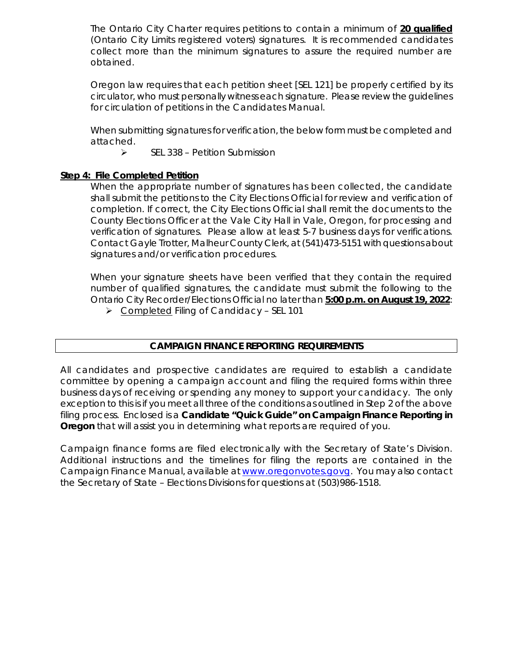The Ontario City Charter requires petitions to contain a minimum of **20 qualified**  (Ontario City Limits registered voters) signatures. It is recommended candidates collect more than the minimum signatures to assure the required number are obtained.

Oregon law requires that each petition sheet [SEL 121] be properly certified by its circulator, who must personally witness each signature. Please review the guidelines for circulation of petitions in the Candidates Manual.

When submitting signatures for verification, the below form must be completed and attached.

 $\triangleright$  SEL 338 – Petition Submission

### **Step 4: File Completed Petition**

When the appropriate number of signatures has been collected, the candidate shall submit the petitions to the City Elections Official for review and verification of completion. If correct, the City Elections Official shall remit the documents to the County Elections Officer at the Vale City Hall in Vale, Oregon, for processing and verification of signatures. Please allow at least 5-7 business days for verifications. Contact Gayle Trotter, Malheur County Clerk, at (541)473-5151 with questions about signatures and/or verification procedures.

When your signature sheets have been verified that they contain the required number of qualified signatures, the candidate must submit the following to the Ontario City Recorder/Elections Official no later than **5:00 p.m. on August 19, 2022**:

Completed Filing of Candidacy – SEL 101

## **CAMPAIGN FINANCE REPORTING REQUIREMENTS**

All candidates and prospective candidates are required to establish a candidate committee by opening a campaign account and filing the required forms within three business days of receiving or spending any money to support your candidacy. The only exception to this is if you meet all three of the conditions as outlined in Step 2 of the above filing process. Enclosed is a *Candidate "Quick Guide" on Campaign Finance Reporting in Oregon* that will assist you in determining what reports are required of you.

Campaign finance forms are filed electronically with the Secretary of State's Division. Additional instructions and the timelines for filing the reports are contained in the Campaign Finance Manual, available a[t www.oregonvotes.govg.](http://www.oregonvotes.govg/) You may also contact the Secretary of State – Elections Divisions for questions at (503)986-1518.